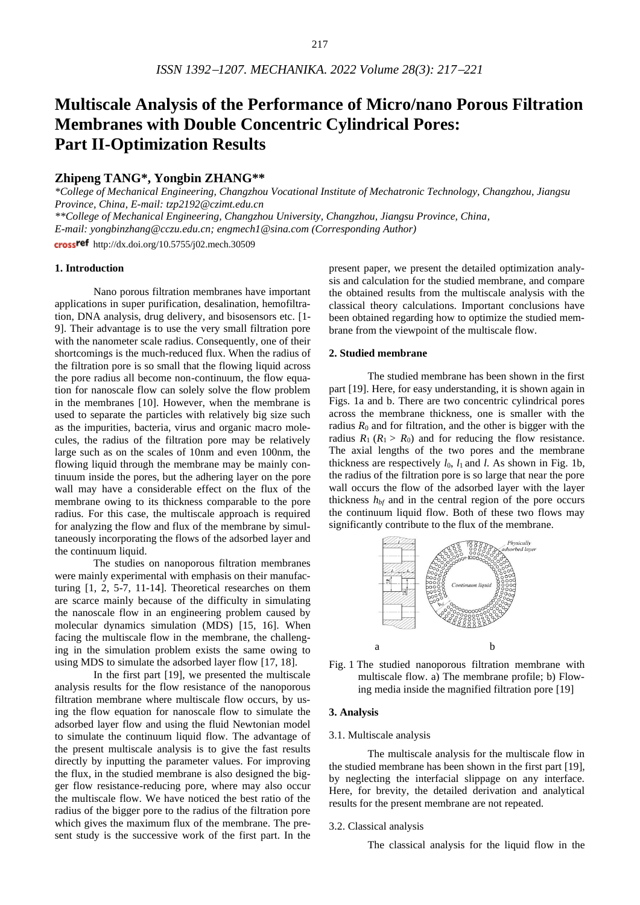# **Multiscale Analysis of the Performance of Micro/nano Porous Filtration Membranes with Double Concentric Cylindrical Pores: Part II-Optimization Results**

# **Zhipeng TANG\*, Yongbin ZHANG\*\***

*\*College of Mechanical Engineering, Changzhou Vocational Institute of Mechatronic Technology, Changzhou, Jiangsu Province, China, E-mail: tzp2192@czimt.edu.cn*

*\*\*College of Mechanical Engineering, Changzhou University, Changzhou, Jiangsu Province, China,*

*E-mail: yongbinzhang@cczu.edu.cn; engmech1@sina.com (Corresponding Author)*

crossref http://dx.doi.org/10.5755/j02.mech.30509

## **1. Introduction**

Nano porous filtration membranes have important applications in super purification, desalination, hemofiltration, DNA analysis, drug delivery, and bisosensors etc. [1- 9]. Their advantage is to use the very small filtration pore with the nanometer scale radius. Consequently, one of their shortcomings is the much-reduced flux. When the radius of the filtration pore is so small that the flowing liquid across the pore radius all become non-continuum, the flow equation for nanoscale flow can solely solve the flow problem in the membranes [10]. However, when the membrane is used to separate the particles with relatively big size such as the impurities, bacteria, virus and organic macro molecules, the radius of the filtration pore may be relatively large such as on the scales of 10nm and even 100nm, the flowing liquid through the membrane may be mainly continuum inside the pores, but the adhering layer on the pore wall may have a considerable effect on the flux of the membrane owing to its thickness comparable to the pore radius. For this case, the multiscale approach is required for analyzing the flow and flux of the membrane by simultaneously incorporating the flows of the adsorbed layer and the continuum liquid.

The studies on nanoporous filtration membranes were mainly experimental with emphasis on their manufacturing [1, 2, 5-7, 11-14]. Theoretical researches on them are scarce mainly because of the difficulty in simulating the nanoscale flow in an engineering problem caused by molecular dynamics simulation (MDS) [15, 16]. When facing the multiscale flow in the membrane, the challenging in the simulation problem exists the same owing to using MDS to simulate the adsorbed layer flow [17, 18].

In the first part [19], we presented the multiscale analysis results for the flow resistance of the nanoporous filtration membrane where multiscale flow occurs, by using the flow equation for nanoscale flow to simulate the adsorbed layer flow and using the fluid Newtonian model to simulate the continuum liquid flow. The advantage of the present multiscale analysis is to give the fast results directly by inputting the parameter values. For improving the flux, in the studied membrane is also designed the bigger flow resistance-reducing pore, where may also occur the multiscale flow. We have noticed the best ratio of the radius of the bigger pore to the radius of the filtration pore which gives the maximum flux of the membrane. The present study is the successive work of the first part. In the

present paper, we present the detailed optimization analysis and calculation for the studied membrane, and compare the obtained results from the multiscale analysis with the classical theory calculations. Important conclusions have been obtained regarding how to optimize the studied membrane from the viewpoint of the multiscale flow.

## **2. Studied membrane**

The studied membrane has been shown in the first part [19]. Here, for easy understanding, it is shown again in Figs. 1a and b. There are two concentric cylindrical pores across the membrane thickness, one is smaller with the radius  $R_0$  and for filtration, and the other is bigger with the radius  $R_1$  ( $R_1 > R_0$ ) and for reducing the flow resistance. The axial lengths of the two pores and the membrane thickness are respectively  $l_0$ ,  $l_1$  and  $l$ . As shown in Fig. 1b, the radius of the filtration pore is so large that near the pore wall occurs the flow of the adsorbed layer with the layer thickness  $h_{bf}$  and in the central region of the pore occurs the continuum liquid flow. Both of these two flows may significantly contribute to the flux of the membrane.



Fig. 1 The studied nanoporous filtration membrane with multiscale flow. a) The membrane profile; b) Flowing media inside the magnified filtration pore [19]

## **3. Analysis**

#### 3.1. Multiscale analysis

The multiscale analysis for the multiscale flow in the studied membrane has been shown in the first part [19], by neglecting the interfacial slippage on any interface. Here, for brevity, the detailed derivation and analytical results for the present membrane are not repeated.

#### 3.2. Classical analysis

The classical analysis for the liquid flow in the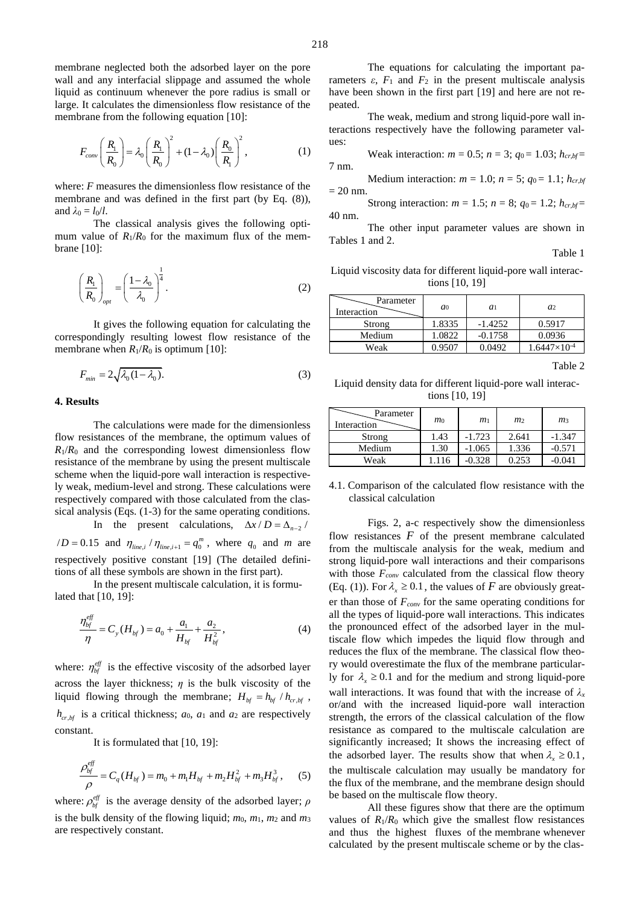membrane neglected both the adsorbed layer on the pore wall and any interfacial slippage and assumed the whole liquid as continuum whenever the pore radius is small or large. It calculates the dimensionless flow resistance of the membrane from the following equation [10]:

$$
F_{conv}\left(\frac{R_1}{R_0}\right) = \lambda_0 \left(\frac{R_1}{R_0}\right)^2 + (1 - \lambda_0) \left(\frac{R_0}{R_1}\right)^2, \tag{1}
$$

where: *F* measures the dimensionless flow resistance of the membrane and was defined in the first part (by Eq. (8)), and  $\lambda_0 = l_0/l$ .

The classical analysis gives the following optimum value of  $R_1/R_0$  for the maximum flux of the membrane [10]:

$$
\left(\frac{R_1}{R_0}\right)_{opt} = \left(\frac{1-\lambda_0}{\lambda_0}\right)^{\frac{1}{4}}.
$$
\n(2)

It gives the following equation for calculating the correspondingly resulting lowest flow resistance of the membrane when  $R_1/R_0$  is optimum [10]:

$$
F_{\min} = 2\sqrt{\lambda_0 (1 - \lambda_0)}.
$$
\n(3)

## **4. Results**

The calculations were made for the dimensionless flow resistances of the membrane, the optimum values of  $R_1/R_0$  and the corresponding lowest dimensionless flow resistance of the membrane by using the present multiscale scheme when the liquid-pore wall interaction is respectively weak, medium-level and strong. These calculations were respectively compared with those calculated from the classical analysis (Eqs. (1-3) for the same operating conditions.

In the present calculations,  $\Delta x / D = \Delta_{n-2}$ 

 $/D = 0.15$  and  $\eta_{\text{line}, i} / \eta_{\text{line}, i+1} = q_0^m$ , where  $q_0$  and *m* are respectively positive constant [19] (The detailed definitions of all these symbols are shown in the first part).

In the present multiscale calculation, it is formulated that [10, 19]:

$$
\frac{\eta_{bf}^{eff}}{\eta} = C_y(H_{bf}) = a_0 + \frac{a_1}{H_{bf}} + \frac{a_2}{H_{bf}^2},\tag{4}
$$

where:  $\eta_{bf}^{eff}$  is the effective viscosity of the adsorbed layer across the layer thickness;  $\eta$  is the bulk viscosity of the liquid flowing through the membrane;  $H_{bf} = h_{bf}/h_{cr,bf}$ ,  $h_{cr,bf}$  is a critical thickness;  $a_0$ ,  $a_1$  and  $a_2$  are respectively constant.

It is formulated that [10, 19]:

$$
\frac{\rho_{bf}^{eff}}{\rho} = C_q(H_{bf}) = m_0 + m_1H_{bf} + m_2H_{bf}^2 + m_3H_{bf}^3, \quad (5)
$$

where:  $\rho_{bf}^{eff}$  is the average density of the adsorbed layer;  $\rho$ is the bulk density of the flowing liquid;  $m_0$ ,  $m_1$ ,  $m_2$  and  $m_3$ are respectively constant.

The equations for calculating the important parameters  $\varepsilon$ ,  $F_1$  and  $F_2$  in the present multiscale analysis have been shown in the first part [19] and here are not repeated.

The weak, medium and strong liquid-pore wall interactions respectively have the following parameter values:

Weak interaction:  $m = 0.5$ ;  $n = 3$ ;  $q_0 = 1.03$ ;  $h_{cr,bf} =$ 7 nm.

Medium interaction:  $m = 1.0$ ;  $n = 5$ ;  $q_0 = 1.1$ ;  $h_{cr,bf}$  $= 20$  nm.

Strong interaction:  $m = 1.5$ ;  $n = 8$ ;  $q_0 = 1.2$ ;  $h_{cr,bf} =$ 40 nm.

The other input parameter values are shown in Tables 1 and 2.

Table 1

Liquid viscosity data for different liquid-pore wall interactions [10, 19]

| a <sub>0</sub> | $a_1$     | a <sub>2</sub>        |
|----------------|-----------|-----------------------|
| 1.8335         | $-1.4252$ | 0.5917                |
| 1.0822         | $-0.1758$ | 0.0936                |
| 0.9507         | 0.0492    | $1.6447\times10^{-4}$ |
|                |           |                       |

Table 2

Liquid density data for different liquid-pore wall interactions [10, 19]

| Parameter<br>Interaction | $m_0$ | m <sub>1</sub> | m <sub>2</sub> | m <sub>3</sub> |
|--------------------------|-------|----------------|----------------|----------------|
| Strong                   | 1.43  | $-1.723$       | 2.641          | $-1.347$       |
| Medium                   | 1.30  | $-1.065$       | 1.336          | $-0.571$       |
| Weak                     | 1.116 | $-0.328$       | 0.253          | $-0.041$       |

4.1. Comparison of the calculated flow resistance with the classical calculation

Figs. 2, a-c respectively show the dimensionless flow resistances  $F$  of the present membrane calculated from the multiscale analysis for the weak, medium and strong liquid-pore wall interactions and their comparisons with those *Fconv* calculated from the classical flow theory (Eq. (1)). For  $\lambda_x \geq 0.1$ , the values of *F* are obviously greater than those of *Fconv* for the same operating conditions for all the types of liquid-pore wall interactions. This indicates the pronounced effect of the adsorbed layer in the multiscale flow which impedes the liquid flow through and reduces the flux of the membrane. The classical flow theory would overestimate the flux of the membrane particularly for  $\lambda_x \geq 0.1$  and for the medium and strong liquid-pore wall interactions. It was found that with the increase of  $\lambda_x$ or/and with the increased liquid-pore wall interaction strength, the errors of the classical calculation of the flow resistance as compared to the multiscale calculation are significantly increased; It shows the increasing effect of the adsorbed layer. The results show that when  $\lambda_x \geq 0.1$ , the multiscale calculation may usually be mandatory for the flux of the membrane, and the membrane design should be based on the multiscale flow theory.

All these figures show that there are the optimum values of  $R_1/R_0$  which give the smallest flow resistances and thus the highest fluxes of the membrane whenever calculated by the present multiscale scheme or by the clas-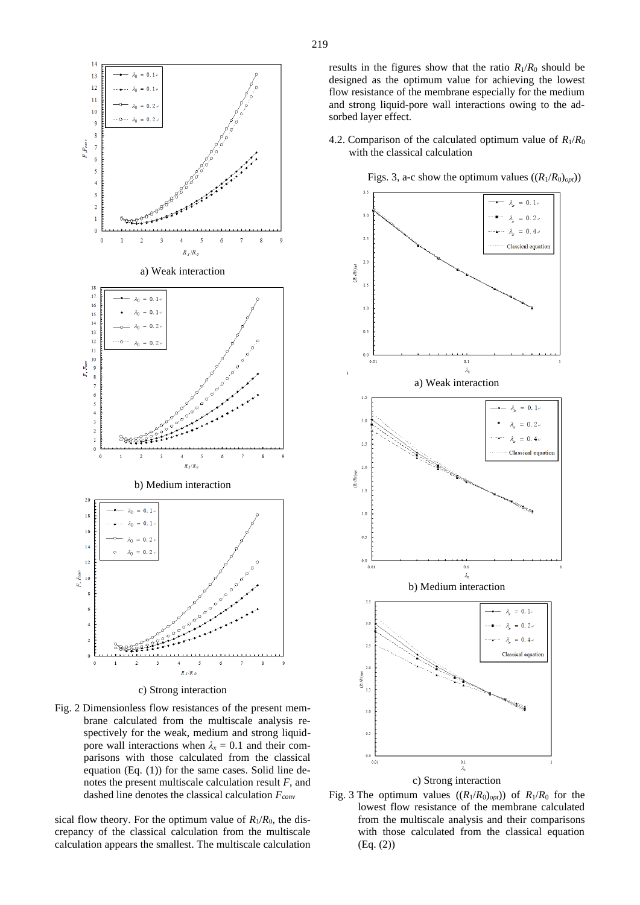

c) Strong interaction

Fig. 2 Dimensionless flow resistances of the present membrane calculated from the multiscale analysis respectively for the weak, medium and strong liquidpore wall interactions when  $\lambda_x = 0.1$  and their comparisons with those calculated from the classical equation (Eq. (1)) for the same cases. Solid line denotes the present multiscale calculation result *F*, and dashed line denotes the classical calculation *Fconv*

sical flow theory. For the optimum value of  $R_1/R_0$ , the discrepancy of the classical calculation from the multiscale calculation appears the smallest. The multiscale calculation results in the figures show that the ratio  $R_1/R_0$  should be designed as the optimum value for achieving the lowest flow resistance of the membrane especially for the medium and strong liquid-pore wall interactions owing to the adsorbed layer effect.

4.2. Comparison of the calculated optimum value of  $R_1/R_0$ with the classical calculation



Figs. 3, a-c show the optimum values  $((R_1/R_0)_{opt})$ 

Fig. 3 The optimum values  $((R_1/R_0)_{opt})$  of  $R_1/R_0$  for the lowest flow resistance of the membrane calculated from the multiscale analysis and their comparisons with those calculated from the classical equation (Eq. (2))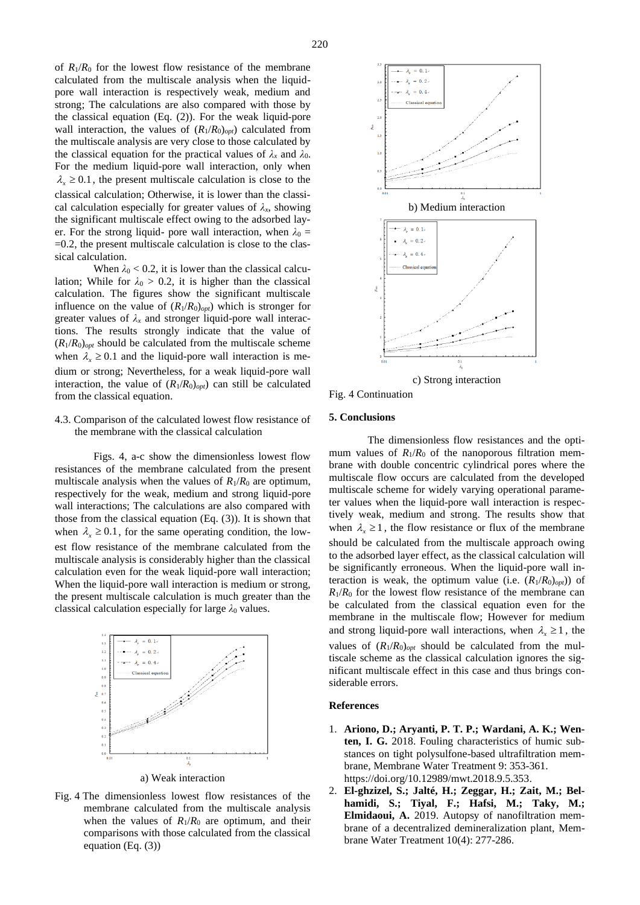of  $R_1/R_0$  for the lowest flow resistance of the membrane calculated from the multiscale analysis when the liquidpore wall interaction is respectively weak, medium and strong; The calculations are also compared with those by the classical equation (Eq. (2)). For the weak liquid-pore wall interaction, the values of  $(R_1/R_0)_{opt}$  calculated from the multiscale analysis are very close to those calculated by the classical equation for the practical values of  $\lambda_x$  and  $\lambda_0$ . For the medium liquid-pore wall interaction, only when  $\lambda_{\rm x} \geq 0.1$ , the present multiscale calculation is close to the classical calculation; Otherwise, it is lower than the classical calculation especially for greater values of  $\lambda_x$ , showing the significant multiscale effect owing to the adsorbed layer. For the strong liquid- pore wall interaction, when  $\lambda_0 =$  $=0.2$ , the present multiscale calculation is close to the classical calculation.

When  $\lambda_0$  < 0.2, it is lower than the classical calculation; While for  $\lambda_0 > 0.2$ , it is higher than the classical calculation. The figures show the significant multiscale influence on the value of  $(R_1/R_0)_{opt}$ ) which is stronger for greater values of  $\lambda_x$  and stronger liquid-pore wall interactions. The results strongly indicate that the value of  $(R_1/R_0)_{opt}$  should be calculated from the multiscale scheme when  $\lambda_x \geq 0.1$  and the liquid-pore wall interaction is medium or strong; Nevertheless, for a weak liquid-pore wall interaction, the value of  $(R_1/R_0)_{opt}$  can still be calculated from the classical equation.

## 4.3. Comparison of the calculated lowest flow resistance of the membrane with the classical calculation

Figs. 4, a-c show the dimensionless lowest flow resistances of the membrane calculated from the present multiscale analysis when the values of  $R_1/R_0$  are optimum, respectively for the weak, medium and strong liquid-pore wall interactions; The calculations are also compared with those from the classical equation (Eq. (3)). It is shown that when  $\lambda_x \geq 0.1$ , for the same operating condition, the lowest flow resistance of the membrane calculated from the multiscale analysis is considerably higher than the classical calculation even for the weak liquid-pore wall interaction; When the liquid-pore wall interaction is medium or strong, the present multiscale calculation is much greater than the classical calculation especially for large  $\lambda_0$  values.



a) Weak interaction

Fig. 4 The dimensionless lowest flow resistances of the membrane calculated from the multiscale analysis when the values of  $R_1/R_0$  are optimum, and their comparisons with those calculated from the classical equation (Eq. (3))



Fig. 4 Continuation

# **5. Conclusions**

The dimensionless flow resistances and the optimum values of  $R_1/R_0$  of the nanoporous filtration membrane with double concentric cylindrical pores where the multiscale flow occurs are calculated from the developed multiscale scheme for widely varying operational parameter values when the liquid-pore wall interaction is respectively weak, medium and strong. The results show that when  $\lambda_x \geq 1$ , the flow resistance or flux of the membrane should be calculated from the multiscale approach owing to the adsorbed layer effect, as the classical calculation will be significantly erroneous. When the liquid-pore wall interaction is weak, the optimum value (i.e.  $(R_1/R_0)_{opt}$ ) of  $R_1/R_0$  for the lowest flow resistance of the membrane can be calculated from the classical equation even for the membrane in the multiscale flow; However for medium and strong liquid-pore wall interactions, when  $\lambda_x \geq 1$ , the values of  $(R_1/R_0)_{opt}$  should be calculated from the multiscale scheme as the classical calculation ignores the significant multiscale effect in this case and thus brings considerable errors.

#### **References**

- 1. **Ariono, D.; Aryanti, P. T. P.; Wardani, A. K.; Wenten, I. G.** 2018. Fouling characteristics of humic substances on tight polysulfone-based ultrafiltration membrane, Membrane Water Treatment 9: 353-361. [https://doi.org/10.12989/mwt.2018.9.5.353.](https://doi.org/10.12989/mwt.2018.9.5.353)
- 2. **El-ghzizel, S.; Jalté, H.; Zeggar, H.; Zait, M.; Belhamidi, S.; Tiyal, F.; Hafsi, M.; Taky, M.; Elmidaoui, A.** 2019. Autopsy of nanofiltration membrane of a decentralized demineralization plant, Membrane Water Treatment 10(4): 277-286.